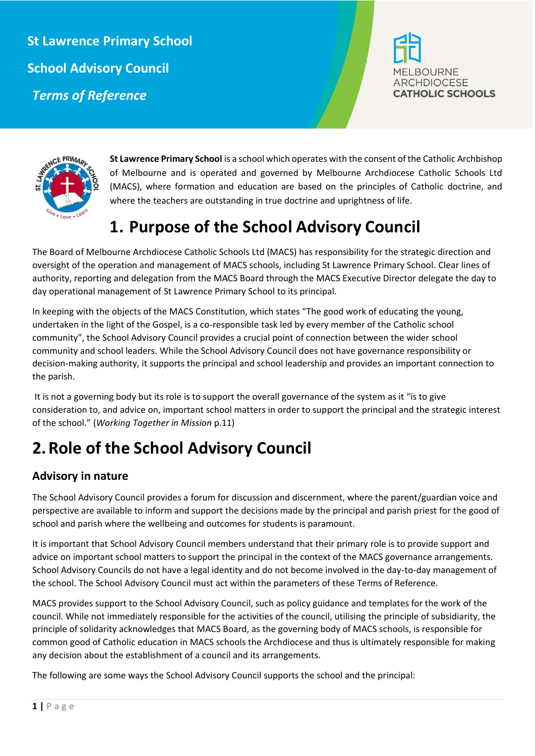**St Lawrence Primary School School Advisory Council**  *Terms of Reference*





**St Lawrence Primary School** is a school which operates with the consent of the Catholic Archbishop of Melbourne and is operated and governed by Melbourne Archdiocese Catholic Schools Ltd (MACS), where formation and education are based on the principles of Catholic doctrine, and where the teachers are outstanding in true doctrine and uprightness of life.

## **1. Purpose of the School Advisory Council**

The Board of Melbourne Archdiocese Catholic Schools Ltd (MACS) has responsibility for the strategic direction and oversight of the operation and management of MACS schools, including St Lawrence Primary School. Clear lines of authority, reporting and delegation from the MACS Board through the MACS Executive Director delegate the day to day operational management of St Lawrence Primary School to its principal.

In keeping with the objects of the MACS Constitution, which states "The good work of educating the young, undertaken in the light of the Gospel, is a co-responsible task led by every member of the Catholic school community", the School Advisory Council provides a crucial point of connection between the wider school community and school leaders. While the School Advisory Council does not have governance responsibility or decision-making authority, it supports the principal and school leadership and provides an important connection to the parish.

It is not a governing body but its role is to support the overall governance of the system as it "is to give consideration to, and advice on, important school matters in order to support the principal and the strategic interest of the school." (*Working Together in Mission* p.11)

# **2.Role of the School Advisory Council**

### **Advisory in nature**

The School Advisory Council provides a forum for discussion and discernment, where the parent/guardian voice and perspective are available to inform and support the decisions made by the principal and parish priest for the good of school and parish where the wellbeing and outcomes for students is paramount.

It is important that School Advisory Council members understand that their primary role is to provide support and advice on important school matters to support the principal in the context of the MACS governance arrangements. School Advisory Councils do not have a legal identity and do not become involved in the day-to-day management of the school. The School Advisory Council must act within the parameters of these Terms of Reference.

MACS provides support to the School Advisory Council, such as policy guidance and templates for the work of the council. While not immediately responsible for the activities of the council, utilising the principle of subsidiarity, the principle of solidarity acknowledges that MACS Board, as the governing body of MACS schools, is responsible for common good of Catholic education in MACS schools the Archdiocese and thus is ultimately responsible for making any decision about the establishment of a council and its arrangements.

The following are some ways the School Advisory Council supports the school and the principal: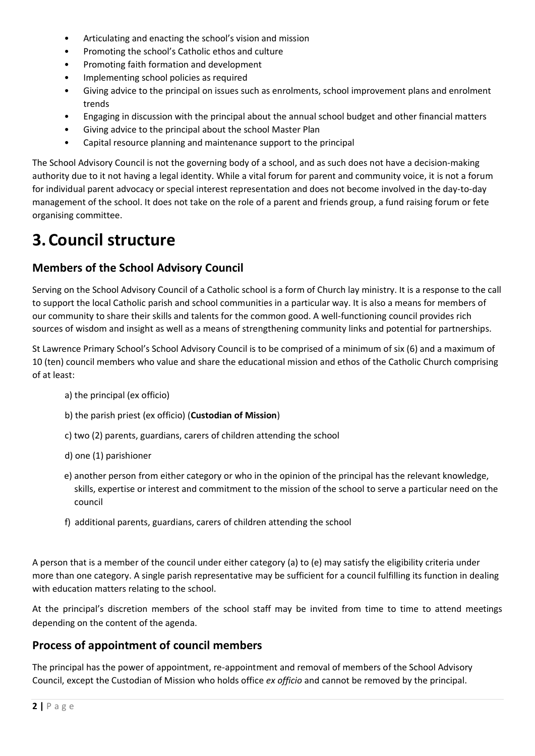- Articulating and enacting the school's vision and mission
- Promoting the school's Catholic ethos and culture
- Promoting faith formation and development
- Implementing school policies as required
- Giving advice to the principal on issues such as enrolments, school improvement plans and enrolment trends
- Engaging in discussion with the principal about the annual school budget and other financial matters
- Giving advice to the principal about the school Master Plan
- Capital resource planning and maintenance support to the principal

The School Advisory Council is not the governing body of a school, and as such does not have a decision-making authority due to it not having a legal identity. While a vital forum for parent and community voice, it is not a forum for individual parent advocacy or special interest representation and does not become involved in the day-to-day management of the school. It does not take on the role of a parent and friends group, a fund raising forum or fete organising committee.

### **3.Council structure**

#### **Members of the School Advisory Council**

Serving on the School Advisory Council of a Catholic school is a form of Church lay ministry. It is a response to the call to support the local Catholic parish and school communities in a particular way. It is also a means for members of our community to share their skills and talents for the common good. A well-functioning council provides rich sources of wisdom and insight as well as a means of strengthening community links and potential for partnerships.

St Lawrence Primary School's School Advisory Council is to be comprised of a minimum of six (6) and a maximum of 10 (ten) council members who value and share the educational mission and ethos of the Catholic Church comprising of at least:

- a) the principal (ex officio)
- b) the parish priest (ex officio) (**Custodian of Mission**)
- c) two (2) parents, guardians, carers of children attending the school
- d) one (1) parishioner
- e) another person from either category or who in the opinion of the principal has the relevant knowledge, skills, expertise or interest and commitment to the mission of the school to serve a particular need on the council
- f) additional parents, guardians, carers of children attending the school

A person that is a member of the council under either category (a) to (e) may satisfy the eligibility criteria under more than one category. A single parish representative may be sufficient for a council fulfilling its function in dealing with education matters relating to the school.

At the principal's discretion members of the school staff may be invited from time to time to attend meetings depending on the content of the agenda.

#### **Process of appointment of council members**

The principal has the power of appointment, re-appointment and removal of members of the School Advisory Council, except the Custodian of Mission who holds office *ex officio* and cannot be removed by the principal.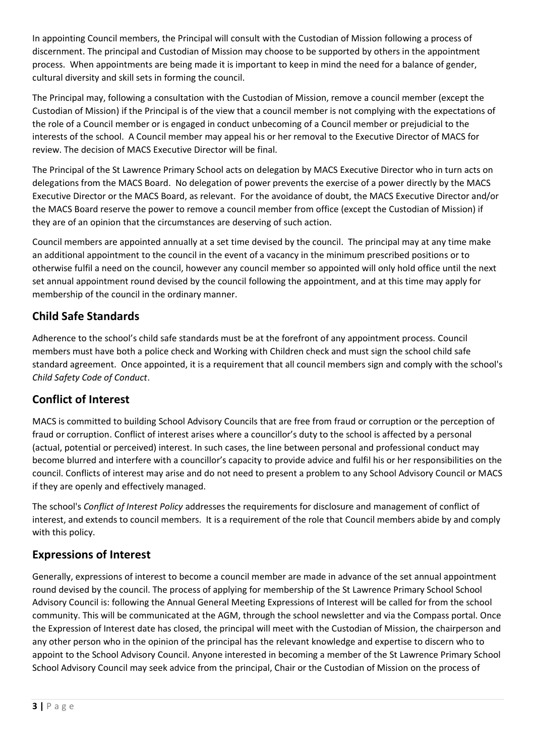In appointing Council members, the Principal will consult with the Custodian of Mission following a process of discernment. The principal and Custodian of Mission may choose to be supported by others in the appointment process. When appointments are being made it is important to keep in mind the need for a balance of gender, cultural diversity and skill sets in forming the council.

The Principal may, following a consultation with the Custodian of Mission, remove a council member (except the Custodian of Mission) if the Principal is of the view that a council member is not complying with the expectations of the role of a Council member or is engaged in conduct unbecoming of a Council member or prejudicial to the interests of the school. A Council member may appeal his or her removal to the Executive Director of MACS for review. The decision of MACS Executive Director will be final.

The Principal of the St Lawrence Primary School acts on delegation by MACS Executive Director who in turn acts on delegations from the MACS Board. No delegation of power prevents the exercise of a power directly by the MACS Executive Director or the MACS Board, as relevant. For the avoidance of doubt, the MACS Executive Director and/or the MACS Board reserve the power to remove a council member from office (except the Custodian of Mission) if they are of an opinion that the circumstances are deserving of such action.

Council members are appointed annually at a set time devised by the council. The principal may at any time make an additional appointment to the council in the event of a vacancy in the minimum prescribed positions or to otherwise fulfil a need on the council, however any council member so appointed will only hold office until the next set annual appointment round devised by the council following the appointment, and at this time may apply for membership of the council in the ordinary manner.

### **Child Safe Standards**

Adherence to the school's child safe standards must be at the forefront of any appointment process. Council members must have both a police check and Working with Children check and must sign the school child safe standard agreement. Once appointed, it is a requirement that all council members sign and comply with the school's *Child Safety Code of Conduct*.

#### **Conflict of Interest**

MACS is committed to building School Advisory Councils that are free from fraud or corruption or the perception of fraud or corruption. Conflict of interest arises where a councillor's duty to the school is affected by a personal (actual, potential or perceived) interest. In such cases, the line between personal and professional conduct may become blurred and interfere with a councillor's capacity to provide advice and fulfil his or her responsibilities on the council. Conflicts of interest may arise and do not need to present a problem to any School Advisory Council or MACS if they are openly and effectively managed.

The school's *Conflict of Interest Policy* addresses the requirements for disclosure and management of conflict of interest, and extends to council members. It is a requirement of the role that Council members abide by and comply with this policy.

#### **Expressions of Interest**

Generally, expressions of interest to become a council member are made in advance of the set annual appointment round devised by the council. The process of applying for membership of the St Lawrence Primary School School Advisory Council is: following the Annual General Meeting Expressions of Interest will be called for from the school community. This will be communicated at the AGM, through the school newsletter and via the Compass portal. Once the Expression of Interest date has closed, the principal will meet with the Custodian of Mission, the chairperson and any other person who in the opinion of the principal has the relevant knowledge and expertise to discern who to appoint to the School Advisory Council. Anyone interested in becoming a member of the St Lawrence Primary School School Advisory Council may seek advice from the principal, Chair or the Custodian of Mission on the process of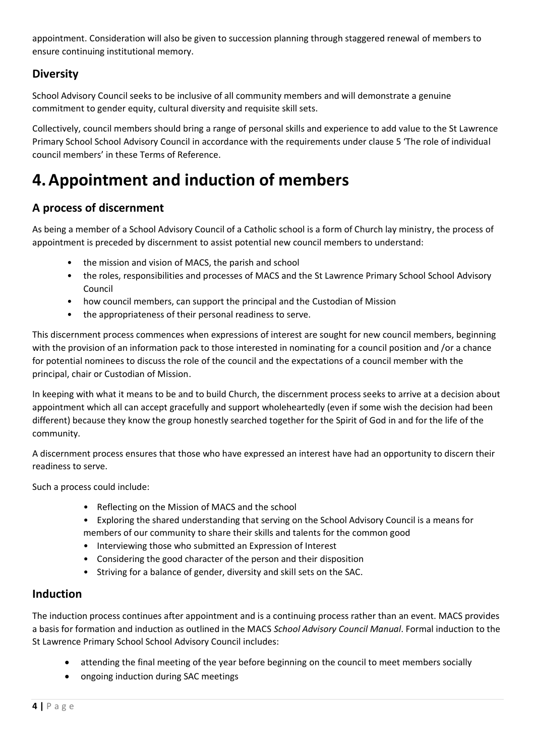appointment. Consideration will also be given to succession planning through staggered renewal of members to ensure continuing institutional memory.

### **Diversity**

School Advisory Council seeks to be inclusive of all community members and will demonstrate a genuine commitment to gender equity, cultural diversity and requisite skill sets.

Collectively, council members should bring a range of personal skills and experience to add value to the St Lawrence Primary School School Advisory Council in accordance with the requirements under clause [5](#page-4-0) 'The role of individual council members' in these Terms of Reference.

## **4.Appointment and induction of members**

### **A process of discernment**

As being a member of a School Advisory Council of a Catholic school is a form of Church lay ministry, the process of appointment is preceded by discernment to assist potential new council members to understand:

- the mission and vision of MACS, the parish and school
- the roles, responsibilities and processes of MACS and the St Lawrence Primary School School Advisory Council
- how council members, can support the principal and the Custodian of Mission
- the appropriateness of their personal readiness to serve.

This discernment process commences when expressions of interest are sought for new council members, beginning with the provision of an information pack to those interested in nominating for a council position and /or a chance for potential nominees to discuss the role of the council and the expectations of a council member with the principal, chair or Custodian of Mission.

In keeping with what it means to be and to build Church, the discernment process seeks to arrive at a decision about appointment which all can accept gracefully and support wholeheartedly (even if some wish the decision had been different) because they know the group honestly searched together for the Spirit of God in and for the life of the community.

A discernment process ensures that those who have expressed an interest have had an opportunity to discern their readiness to serve.

Such a process could include:

- Reflecting on the Mission of MACS and the school
- Exploring the shared understanding that serving on the School Advisory Council is a means for members of our community to share their skills and talents for the common good
- Interviewing those who submitted an Expression of Interest
- Considering the good character of the person and their disposition
- Striving for a balance of gender, diversity and skill sets on the SAC.

#### **Induction**

The induction process continues after appointment and is a continuing process rather than an event. MACS provides a basis for formation and induction as outlined in the MACS *School Advisory Council Manual*. Formal induction to the St Lawrence Primary School School Advisory Council includes:

- attending the final meeting of the year before beginning on the council to meet members socially
- ongoing induction during SAC meetings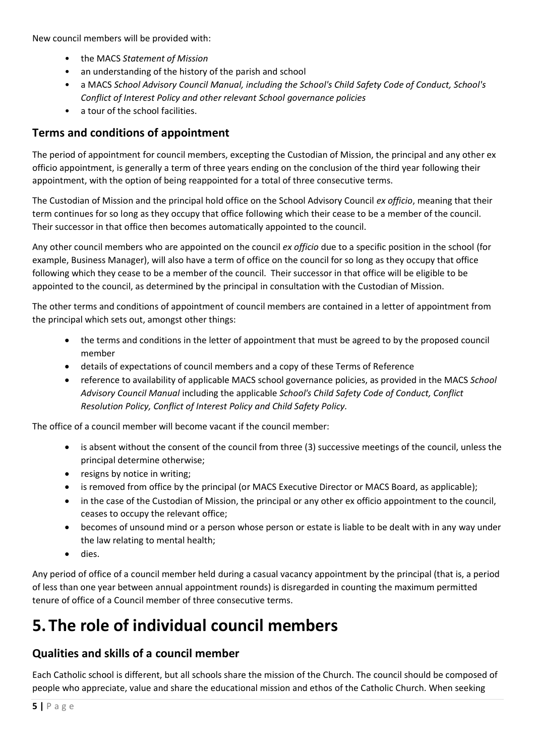New council members will be provided with:

- the MACS *Statement of Mission*
- an understanding of the history of the parish and school
- a MACS *School Advisory Council Manual, including the School's Child Safety Code of Conduct, School's Conflict of Interest Policy and other relevant School governance policies*
- a tour of the school facilities.

#### **Terms and conditions of appointment**

The period of appointment for council members, excepting the Custodian of Mission, the principal and any other ex officio appointment, is generally a term of three years ending on the conclusion of the third year following their appointment, with the option of being reappointed for a total of three consecutive terms.

The Custodian of Mission and the principal hold office on the School Advisory Council *ex officio*, meaning that their term continues for so long as they occupy that office following which their cease to be a member of the council. Their successor in that office then becomes automatically appointed to the council.

Any other council members who are appointed on the council *ex officio* due to a specific position in the school (for example, Business Manager), will also have a term of office on the council for so long as they occupy that office following which they cease to be a member of the council. Their successor in that office will be eligible to be appointed to the council, as determined by the principal in consultation with the Custodian of Mission.

The other terms and conditions of appointment of council members are contained in a letter of appointment from the principal which sets out, amongst other things:

- the terms and conditions in the letter of appointment that must be agreed to by the proposed council member
- details of expectations of council members and a copy of these Terms of Reference
- reference to availability of applicable MACS school governance policies, as provided in the MACS *School Advisory Council Manual* including the applicable *School's Child Safety Code of Conduct, Conflict Resolution Policy, Conflict of Interest Policy and Child Safety Policy.*

The office of a council member will become vacant if the council member:

- is absent without the consent of the council from three (3) successive meetings of the council, unless the principal determine otherwise;
- resigns by notice in writing;
- is removed from office by the principal (or MACS Executive Director or MACS Board, as applicable);
- in the case of the Custodian of Mission, the principal or any other ex officio appointment to the council, ceases to occupy the relevant office;
- becomes of unsound mind or a person whose person or estate is liable to be dealt with in any way under the law relating to mental health;
- dies.

Any period of office of a council member held during a casual vacancy appointment by the principal (that is, a period of less than one year between annual appointment rounds) is disregarded in counting the maximum permitted tenure of office of a Council member of three consecutive terms.

# <span id="page-4-0"></span>**5.The role of individual council members**

#### **Qualities and skills of a council member**

Each Catholic school is different, but all schools share the mission of the Church. The council should be composed of people who appreciate, value and share the educational mission and ethos of the Catholic Church. When seeking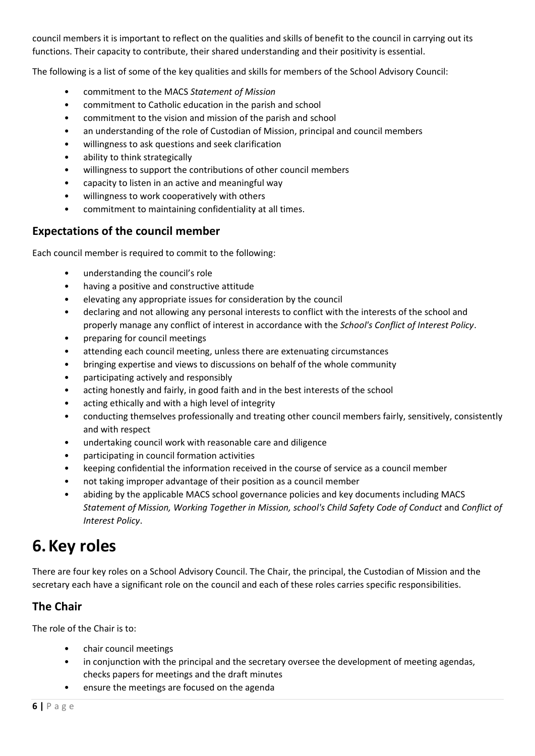council members it is important to reflect on the qualities and skills of benefit to the council in carrying out its functions. Their capacity to contribute, their shared understanding and their positivity is essential.

The following is a list of some of the key qualities and skills for members of the School Advisory Council:

- commitment to the MACS *Statement of Mission*
- commitment to Catholic education in the parish and school
- commitment to the vision and mission of the parish and school
- an understanding of the role of Custodian of Mission, principal and council members
- willingness to ask questions and seek clarification
- ability to think strategically
- willingness to support the contributions of other council members
- capacity to listen in an active and meaningful way
- willingness to work cooperatively with others
- commitment to maintaining confidentiality at all times.

#### **Expectations of the council member**

Each council member is required to commit to the following:

- understanding the council's role
- having a positive and constructive attitude
- elevating any appropriate issues for consideration by the council
- declaring and not allowing any personal interests to conflict with the interests of the school and properly manage any conflict of interest in accordance with the *School's Conflict of Interest Policy*.
- preparing for council meetings
- attending each council meeting, unless there are extenuating circumstances
- bringing expertise and views to discussions on behalf of the whole community
- participating actively and responsibly
- acting honestly and fairly, in good faith and in the best interests of the school
- acting ethically and with a high level of integrity
- conducting themselves professionally and treating other council members fairly, sensitively, consistently and with respect
- undertaking council work with reasonable care and diligence
- participating in council formation activities
- keeping confidential the information received in the course of service as a council member
- not taking improper advantage of their position as a council member
- abiding by the applicable MACS school governance policies and key documents including MACS *Statement of Mission, Working Together in Mission, school's Child Safety Code of Conduct* and *Conflict of Interest Policy*.

### **6.Key roles**

There are four key roles on a School Advisory Council. The Chair, the principal, the Custodian of Mission and the secretary each have a significant role on the council and each of these roles carries specific responsibilities.

### **The Chair**

The role of the Chair is to:

- chair council meetings
- in conjunction with the principal and the secretary oversee the development of meeting agendas, checks papers for meetings and the draft minutes
- ensure the meetings are focused on the agenda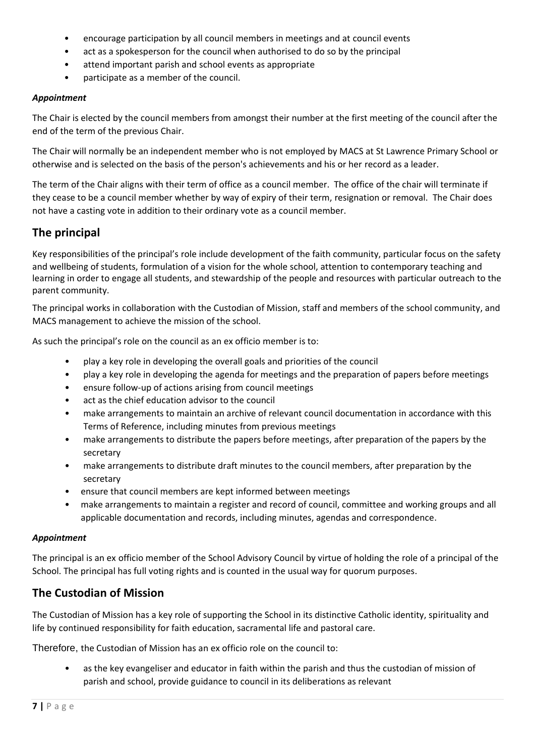- encourage participation by all council members in meetings and at council events
- act as a spokesperson for the council when authorised to do so by the principal
- attend important parish and school events as appropriate
- participate as a member of the council.

#### *Appointment*

The Chair is elected by the council members from amongst their number at the first meeting of the council after the end of the term of the previous Chair.

The Chair will normally be an independent member who is not employed by MACS at St Lawrence Primary School or otherwise and is selected on the basis of the person's achievements and his or her record as a leader.

The term of the Chair aligns with their term of office as a council member. The office of the chair will terminate if they cease to be a council member whether by way of expiry of their term, resignation or removal. The Chair does not have a casting vote in addition to their ordinary vote as a council member.

#### **The principal**

Key responsibilities of the principal's role include development of the faith community, particular focus on the safety and wellbeing of students, formulation of a vision for the whole school, attention to contemporary teaching and learning in order to engage all students, and stewardship of the people and resources with particular outreach to the parent community.

The principal works in collaboration with the Custodian of Mission, staff and members of the school community, and MACS management to achieve the mission of the school.

As such the principal's role on the council as an ex officio member is to:

- play a key role in developing the overall goals and priorities of the council
- play a key role in developing the agenda for meetings and the preparation of papers before meetings
- ensure follow-up of actions arising from council meetings
- act as the chief education advisor to the council
- make arrangements to maintain an archive of relevant council documentation in accordance with this Terms of Reference, including minutes from previous meetings
- make arrangements to distribute the papers before meetings, after preparation of the papers by the secretary
- make arrangements to distribute draft minutes to the council members, after preparation by the secretary
- ensure that council members are kept informed between meetings
- make arrangements to maintain a register and record of council, committee and working groups and all applicable documentation and records, including minutes, agendas and correspondence.

#### *Appointment*

The principal is an ex officio member of the School Advisory Council by virtue of holding the role of a principal of the School. The principal has full voting rights and is counted in the usual way for quorum purposes.

#### **The Custodian of Mission**

The Custodian of Mission has a key role of supporting the School in its distinctive Catholic identity, spirituality and life by continued responsibility for faith education, sacramental life and pastoral care.

Therefore, the Custodian of Mission has an ex officio role on the council to:

as the key evangeliser and educator in faith within the parish and thus the custodian of mission of parish and school, provide guidance to council in its deliberations as relevant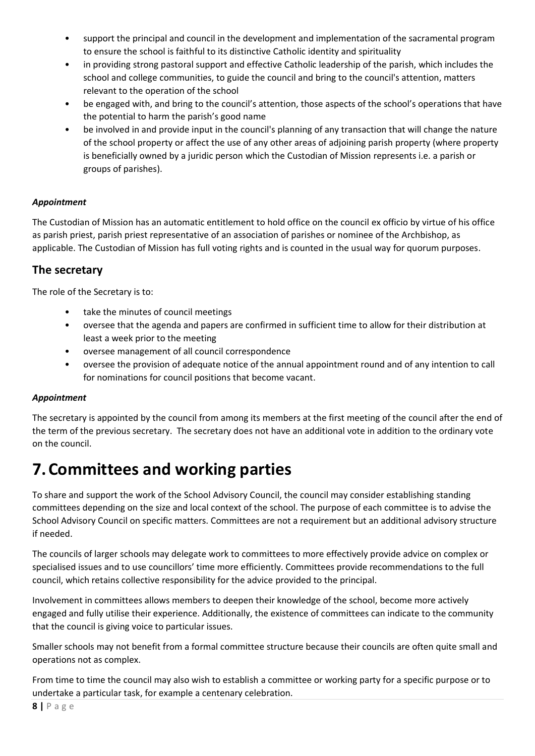- support the principal and council in the development and implementation of the sacramental program to ensure the school is faithful to its distinctive Catholic identity and spirituality
- in providing strong pastoral support and effective Catholic leadership of the parish, which includes the school and college communities, to guide the council and bring to the council's attention, matters relevant to the operation of the school
- be engaged with, and bring to the council's attention, those aspects of the school's operations that have the potential to harm the parish's good name
- be involved in and provide input in the council's planning of any transaction that will change the nature of the school property or affect the use of any other areas of adjoining parish property (where property is beneficially owned by a juridic person which the Custodian of Mission represents i.e. a parish or groups of parishes).

#### *Appointment*

The Custodian of Mission has an automatic entitlement to hold office on the council ex officio by virtue of his office as parish priest, parish priest representative of an association of parishes or nominee of the Archbishop, as applicable. The Custodian of Mission has full voting rights and is counted in the usual way for quorum purposes.

#### **The secretary**

The role of the Secretary is to:

- take the minutes of council meetings
- oversee that the agenda and papers are confirmed in sufficient time to allow for their distribution at least a week prior to the meeting
- oversee management of all council correspondence
- oversee the provision of adequate notice of the annual appointment round and of any intention to call for nominations for council positions that become vacant.

#### *Appointment*

The secretary is appointed by the council from among its members at the first meeting of the council after the end of the term of the previous secretary. The secretary does not have an additional vote in addition to the ordinary vote on the council.

## **7.Committees and working parties**

To share and support the work of the School Advisory Council, the council may consider establishing standing committees depending on the size and local context of the school. The purpose of each committee is to advise the School Advisory Council on specific matters. Committees are not a requirement but an additional advisory structure if needed.

The councils of larger schools may delegate work to committees to more effectively provide advice on complex or specialised issues and to use councillors' time more efficiently. Committees provide recommendations to the full council, which retains collective responsibility for the advice provided to the principal.

Involvement in committees allows members to deepen their knowledge of the school, become more actively engaged and fully utilise their experience. Additionally, the existence of committees can indicate to the community that the council is giving voice to particular issues.

Smaller schools may not benefit from a formal committee structure because their councils are often quite small and operations not as complex.

From time to time the council may also wish to establish a committee or working party for a specific purpose or to undertake a particular task, for example a centenary celebration.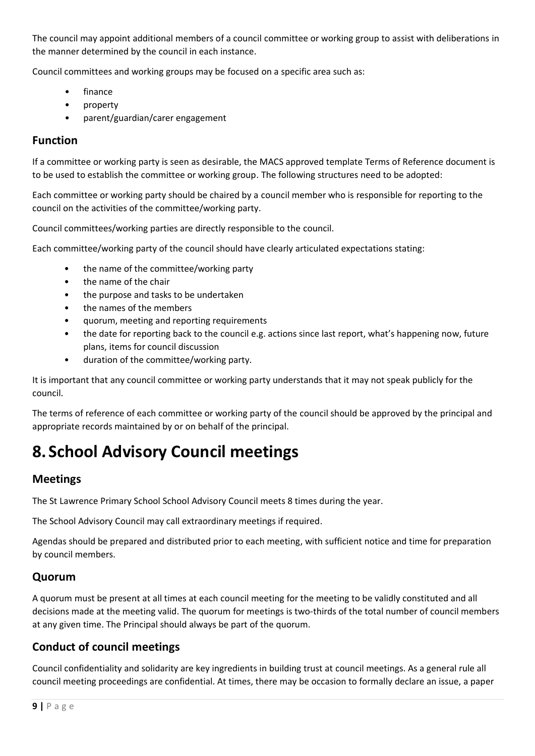The council may appoint additional members of a council committee or working group to assist with deliberations in the manner determined by the council in each instance.

Council committees and working groups may be focused on a specific area such as:

- finance
- property
- parent/guardian/carer engagement

#### **Function**

If a committee or working party is seen as desirable, the MACS approved template Terms of Reference document is to be used to establish the committee or working group. The following structures need to be adopted:

Each committee or working party should be chaired by a council member who is responsible for reporting to the council on the activities of the committee/working party.

Council committees/working parties are directly responsible to the council.

Each committee/working party of the council should have clearly articulated expectations stating:

- the name of the committee/working party
- the name of the chair
- the purpose and tasks to be undertaken
- the names of the members
- quorum, meeting and reporting requirements
- the date for reporting back to the council e.g. actions since last report, what's happening now, future plans, items for council discussion
- duration of the committee/working party.

It is important that any council committee or working party understands that it may not speak publicly for the council.

The terms of reference of each committee or working party of the council should be approved by the principal and appropriate records maintained by or on behalf of the principal.

## **8. School Advisory Council meetings**

#### **Meetings**

The St Lawrence Primary School School Advisory Council meets 8 times during the year.

The School Advisory Council may call extraordinary meetings if required.

Agendas should be prepared and distributed prior to each meeting, with sufficient notice and time for preparation by council members.

#### **Quorum**

A quorum must be present at all times at each council meeting for the meeting to be validly constituted and all decisions made at the meeting valid. The quorum for meetings is two-thirds of the total number of council members at any given time. The Principal should always be part of the quorum.

#### **Conduct of council meetings**

Council confidentiality and solidarity are key ingredients in building trust at council meetings. As a general rule all council meeting proceedings are confidential. At times, there may be occasion to formally declare an issue, a paper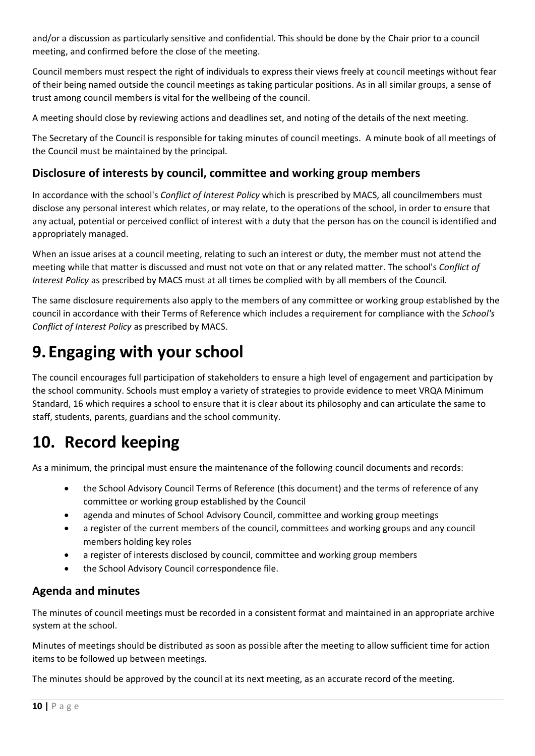and/or a discussion as particularly sensitive and confidential. This should be done by the Chair prior to a council meeting, and confirmed before the close of the meeting.

Council members must respect the right of individuals to express their views freely at council meetings without fear of their being named outside the council meetings as taking particular positions. As in all similar groups, a sense of trust among council members is vital for the wellbeing of the council.

A meeting should close by reviewing actions and deadlines set, and noting of the details of the next meeting.

The Secretary of the Council is responsible for taking minutes of council meetings. A minute book of all meetings of the Council must be maintained by the principal.

#### **Disclosure of interests by council, committee and working group members**

In accordance with the school's *Conflict of Interest Policy* which is prescribed by MACS, all councilmembers must disclose any personal interest which relates, or may relate, to the operations of the school, in order to ensure that any actual, potential or perceived conflict of interest with a duty that the person has on the council is identified and appropriately managed.

When an issue arises at a council meeting, relating to such an interest or duty, the member must not attend the meeting while that matter is discussed and must not vote on that or any related matter. The school's *Conflict of Interest Policy* as prescribed by MACS must at all times be complied with by all members of the Council.

The same disclosure requirements also apply to the members of any committee or working group established by the council in accordance with their Terms of Reference which includes a requirement for compliance with the *School's Conflict of Interest Policy* as prescribed by MACS.

# **9.Engaging with your school**

The council encourages full participation of stakeholders to ensure a high level of engagement and participation by the school community. Schools must employ a variety of strategies to provide evidence to meet VRQA Minimum Standard, 16 which requires a school to ensure that it is clear about its philosophy and can articulate the same to staff, students, parents, guardians and the school community.

# **10. Record keeping**

As a minimum, the principal must ensure the maintenance of the following council documents and records:

- the School Advisory Council Terms of Reference (this document) and the terms of reference of any committee or working group established by the Council
- agenda and minutes of School Advisory Council, committee and working group meetings
- a register of the current members of the council, committees and working groups and any council members holding key roles
- a register of interests disclosed by council, committee and working group members
- the School Advisory Council correspondence file.

#### **Agenda and minutes**

The minutes of council meetings must be recorded in a consistent format and maintained in an appropriate archive system at the school.

Minutes of meetings should be distributed as soon as possible after the meeting to allow sufficient time for action items to be followed up between meetings.

The minutes should be approved by the council at its next meeting, as an accurate record of the meeting.